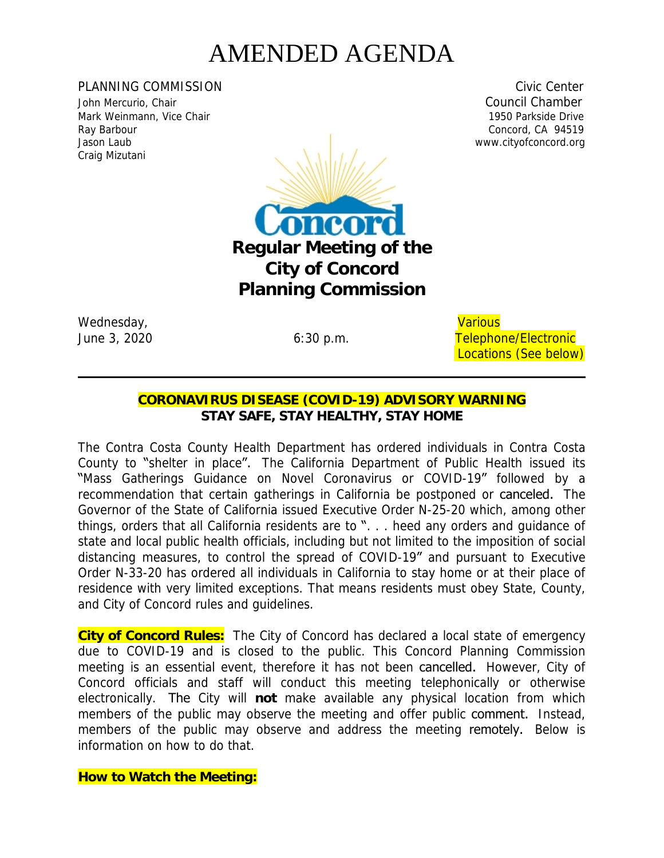## AMENDED AGENDA

PLANNING COMMISSION COMMISSION

John Mercurio, Chair **Council Chamber** Council Chamber Mark Weinmann, Vice Chair 1950 Parkside Drive Ray Barbour Concord, CA 94519 Craig Mizutani

Jason Laub www.cityofconcord.org nne **Regular Meeting of the City of Concord Planning Commission**

Wednesday, and the contract of the contract of the contract of the contract of the contract of the contract of the contract of the contract of the contract of the contract of the contract of the contract of the contract of

June 3, 2020 **6:30 p.m.** Telephone/Electronic Locations (See below)

## **CORONAVIRUS DISEASE (COVID-19) ADVISORY WARNING** *STAY SAFE, STAY HEALTHY, STAY HOME*

The Contra Costa County Health Department has ordered individuals in Contra Costa County to "shelter in place". The California Department of Public Health issued its "Mass Gatherings Guidance on Novel Coronavirus or COVID-19" followed by a recommendation that certain gatherings in California be postponed or canceled. The Governor of the State of California issued Executive Order N-25-20 which, among other things, orders that all California residents are to ". . . heed any orders and guidance of state and local public health officials, including but not limited to the imposition of social distancing measures, to control the spread of COVID-19" and pursuant to Executive Order N-33-20 has ordered all individuals in California to stay home or at their place of residence with very limited exceptions. That means residents must obey State, County, and City of Concord rules and guidelines.

**City of Concord Rules:** The City of Concord has declared a local state of emergency due to COVID-19 and is closed to the public. This Concord Planning Commission meeting is an essential event, therefore it has not been cancelled. However, City of Concord officials and staff will conduct this meeting telephonically or otherwise electronically. The City will **not** make available any physical location from which members of the public may observe the meeting and offer public **comment.** Instead, members of the public may observe and address the meeting remotely. Below is information on how to do that.

**How to Watch the Meeting:**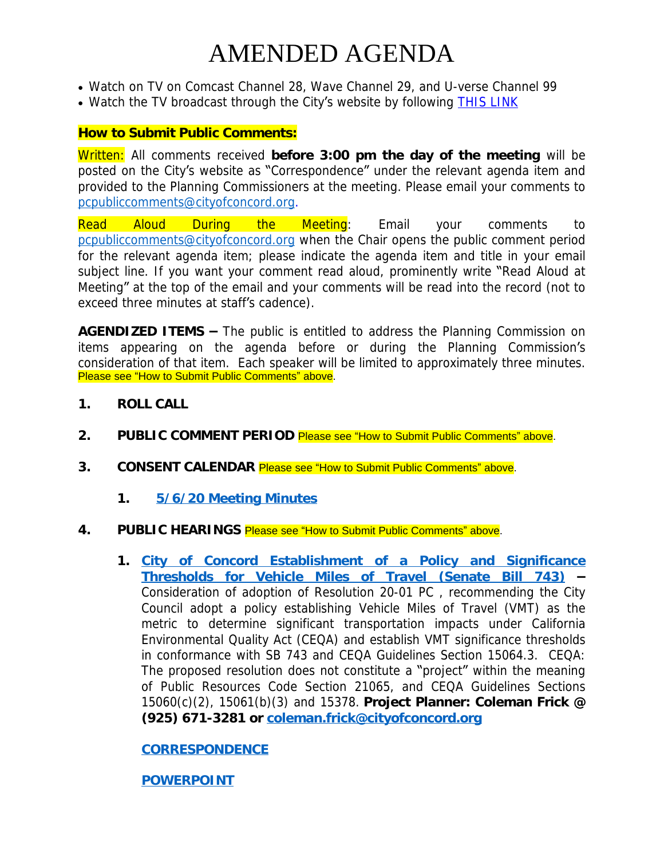# AMENDED AGENDA

- Watch on TV on Comcast Channel 28, Wave Channel 29, and U-verse Channel 99
- Watch the TV broadcast through the City's website by following [THIS LINK](http://204.195.93.6/cablecastapi/live?channel_id=1&use_cdn=true)

## **How to Submit Public Comments:**

Written: All comments received **before 3:00 pm the day of the meeting** will be posted on the City's website as "Correspondence" under the relevant agenda item and provided to the Planning Commissioners at the meeting. Please email your comments to [pcpubliccomments@cityofconcord.org](mailto:pcpubliccomments@cityofconcord.org).

Read Aloud During the Meeting: Email your comments to [pcpubliccomments@cityofconcord.org](mailto:pcpubliccomments@cityofconcord.org) when the Chair opens the public comment period for the relevant agenda item; please indicate the agenda item and title in your email subject line. If you want your comment read aloud, prominently write "Read Aloud at Meeting" at the top of the email and your comments will be read into the record (not to exceed three minutes at staff's cadence).

**AGENDIZED ITEMS –** The public is entitled to address the Planning Commission on items appearing on the agenda before or during the Planning Commission's consideration of that item. Each speaker will be limited to approximately three minutes. Please see "How to Submit Public Comments" above.

- **1. ROLL CALL**
- **2. PUBLIC COMMENT PERIOD** Please see "How to Submit Public Comments" above.
- **3. CONSENT CALENDAR** Please see "How to Submit Public Comments" above.
	- **1. [5/6/20 Meeting Minutes](http://cityofconcord.org/DocumentCenter/View/4651/050620-Draft-Minutes)**

### **[4.](http://cityofconcord.org/DocumentCenter/View/4651/050620-Draft-Minutes) [PUBLIC HEARINGS](http://cityofconcord.org/DocumentCenter/View/4651/050620-Draft-Minutes)** Please see "[How to Submit Public Comments](http://cityofconcord.org/DocumentCenter/View/4651/050620-Draft-Minutes)" above[.](http://cityofconcord.org/DocumentCenter/View/4651/050620-Draft-Minutes)

**[1.](http://cityofconcord.org/DocumentCenter/View/4651/050620-Draft-Minutes) [City of Concord Establishment of a Policy and Significance](http://cityofconcord.org/DocumentCenter/View/4650/LOS-to-VMT-Staff-Report) Thresholds for Vehicle Miles of Travel (Senate Bill 743) –** Consideration of adoption of Resolution 20-01 PC , recommending the City Council adopt a policy establishing Vehicle Miles of Travel (VMT) as the metric to determine significant transportation impacts under California Environmental Quality Act (CEQA) and establish VMT significance thresholds in conformance with SB 743 and CEQA Guidelines Section 15064.3. CEQA: The proposed resolution does not constitute a "project" within the meaning of Public Resources Code Section 21065, and CEQA Guidelines Sections 15060(c)(2), 15061(b)(3) and 15378. **Project Planner: Coleman Frick @ (925) 671-3281 or [coleman.frick@cityofconcord.org](mailto:coleman.frick@cityofconcord.org)**

**[CORRESPONDENCE](https://www.cityofconcord.org/DocumentCenter/View/4664/LOS-to-VMT-Correspondence)**

**[POWERPOINT](http://cityofconcord.org/DocumentCenter/View/4652/LOS-to-VMT-PowerPoint)**